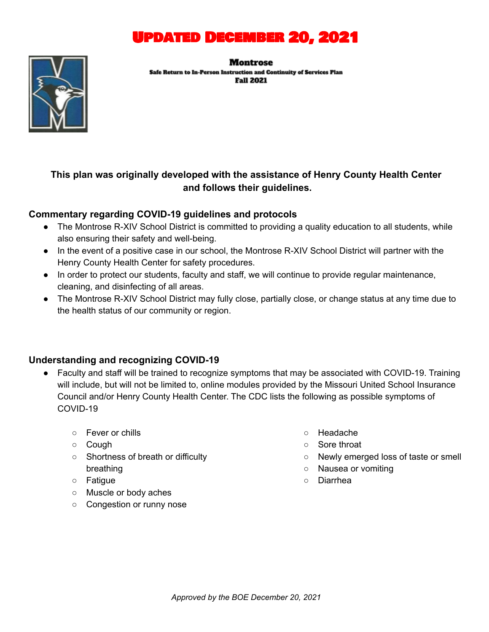

#### Montrose

Safe Return to In-Person Instruction and Continuity of Services Plan **Fall 2021** 



### **This plan was originally developed with the assistance of Henry County Health Center and follows their guidelines.**

### **Commentary regarding COVID-19 guidelines and protocols**

- The Montrose R-XIV School District is committed to providing a quality education to all students, while also ensuring their safety and well-being.
- In the event of a positive case in our school, the Montrose R-XIV School District will partner with the Henry County Health Center for safety procedures.
- In order to protect our students, faculty and staff, we will continue to provide regular maintenance, cleaning, and disinfecting of all areas.
- The Montrose R-XIV School District may fully close, partially close, or change status at any time due to the health status of our community or region.

### **Understanding and recognizing COVID-19**

- Faculty and staff will be trained to recognize symptoms that may be associated with COVID-19. Training will include, but will not be limited to, online modules provided by the Missouri United School Insurance Council and/or Henry County Health Center. The CDC lists the following as possible symptoms of COVID-19
	- Fever or chills
	- Cough
	- Shortness of breath or difficulty breathing
	- Fatigue
	- Muscle or body aches
	- Congestion or runny nose
- Headache
- Sore throat
- Newly emerged loss of taste or smell
- Nausea or vomiting
- Diarrhea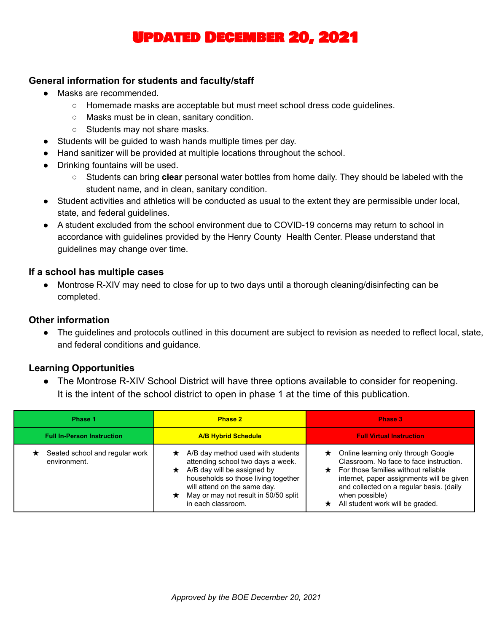### Updated December 20, 2021

### **General information for students and faculty/staff**

- Masks are recommended.
	- Homemade masks are acceptable but must meet school dress code guidelines.
	- Masks must be in clean, sanitary condition.
	- Students may not share masks.
- Students will be guided to wash hands multiple times per day.
- Hand sanitizer will be provided at multiple locations throughout the school.
- Drinking fountains will be used.
	- Students can bring **clear** personal water bottles from home daily. They should be labeled with the student name, and in clean, sanitary condition.
- Student activities and athletics will be conducted as usual to the extent they are permissible under local, state, and federal guidelines.
- A student excluded from the school environment due to COVID-19 concerns may return to school in accordance with guidelines provided by the Henry County Health Center. Please understand that guidelines may change over time.

#### **If a school has multiple cases**

● Montrose R-XIV may need to close for up to two days until a thorough cleaning/disinfecting can be completed.

### **Other information**

● The guidelines and protocols outlined in this document are subject to revision as needed to reflect local, state, and federal conditions and guidance.

### **Learning Opportunities**

• The Montrose R-XIV School District will have three options available to consider for reopening. It is the intent of the school district to open in phase 1 at the time of this publication.

| Phase 1                                        | <b>Phase 2</b>                                                                                                                                                                                                                                     | Phase 3                                                                                                                                                                                                                                                                                 |
|------------------------------------------------|----------------------------------------------------------------------------------------------------------------------------------------------------------------------------------------------------------------------------------------------------|-----------------------------------------------------------------------------------------------------------------------------------------------------------------------------------------------------------------------------------------------------------------------------------------|
| <b>Full In-Person Instruction</b>              | <b>A/B Hybrid Schedule</b>                                                                                                                                                                                                                         | <b>Full Virtual Instruction</b>                                                                                                                                                                                                                                                         |
| Seated school and regular work<br>environment. | A/B day method used with students<br>attending school two days a week.<br>$\star$ A/B day will be assigned by<br>households so those living together<br>will attend on the same day.<br>May or may not result in 50/50 split<br>in each classroom. | Online learning only through Google<br>$\star$<br>Classroom. No face to face instruction.<br>$\star$ For those families without reliable<br>internet, paper assignments will be given<br>and collected on a regular basis. (daily<br>when possible)<br>All student work will be graded. |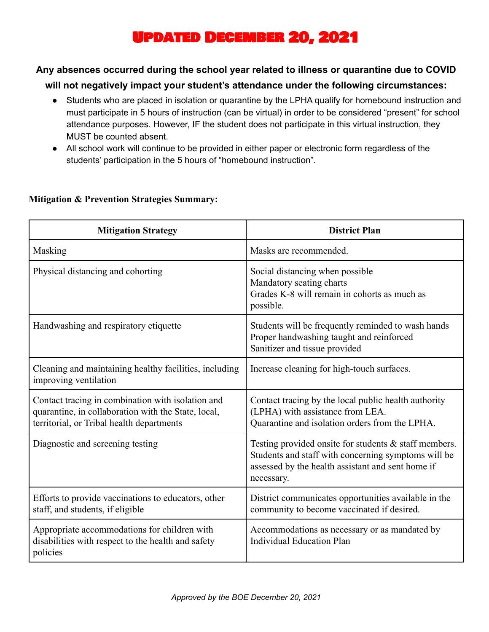# Updated December 20, 2021

### **Any absences occurred during the school year related to illness or quarantine due to COVID**

### **will not negatively impact your student's attendance under the following circumstances:**

- Students who are placed in isolation or quarantine by the LPHA qualify for homebound instruction and must participate in 5 hours of instruction (can be virtual) in order to be considered "present" for school attendance purposes. However, IF the student does not participate in this virtual instruction, they MUST be counted absent.
- All school work will continue to be provided in either paper or electronic form regardless of the students' participation in the 5 hours of "homebound instruction".

| <b>Mitigation Strategy</b>                                                                                                                            | <b>District Plan</b>                                                                                                                                                               |
|-------------------------------------------------------------------------------------------------------------------------------------------------------|------------------------------------------------------------------------------------------------------------------------------------------------------------------------------------|
| Masking                                                                                                                                               | Masks are recommended.                                                                                                                                                             |
| Physical distancing and cohorting                                                                                                                     | Social distancing when possible<br>Mandatory seating charts<br>Grades K-8 will remain in cohorts as much as<br>possible.                                                           |
| Handwashing and respiratory etiquette                                                                                                                 | Students will be frequently reminded to wash hands<br>Proper handwashing taught and reinforced<br>Sanitizer and tissue provided                                                    |
| Cleaning and maintaining healthy facilities, including<br>improving ventilation                                                                       | Increase cleaning for high-touch surfaces.                                                                                                                                         |
| Contact tracing in combination with isolation and<br>quarantine, in collaboration with the State, local,<br>territorial, or Tribal health departments | Contact tracing by the local public health authority<br>(LPHA) with assistance from LEA.<br>Quarantine and isolation orders from the LPHA.                                         |
| Diagnostic and screening testing                                                                                                                      | Testing provided onsite for students $\&$ staff members.<br>Students and staff with concerning symptoms will be<br>assessed by the health assistant and sent home if<br>necessary. |
| Efforts to provide vaccinations to educators, other<br>staff, and students, if eligible                                                               | District communicates opportunities available in the<br>community to become vaccinated if desired.                                                                                 |
| Appropriate accommodations for children with<br>disabilities with respect to the health and safety<br>policies                                        | Accommodations as necessary or as mandated by<br><b>Individual Education Plan</b>                                                                                                  |

### **Mitigation & Prevention Strategies Summary:**